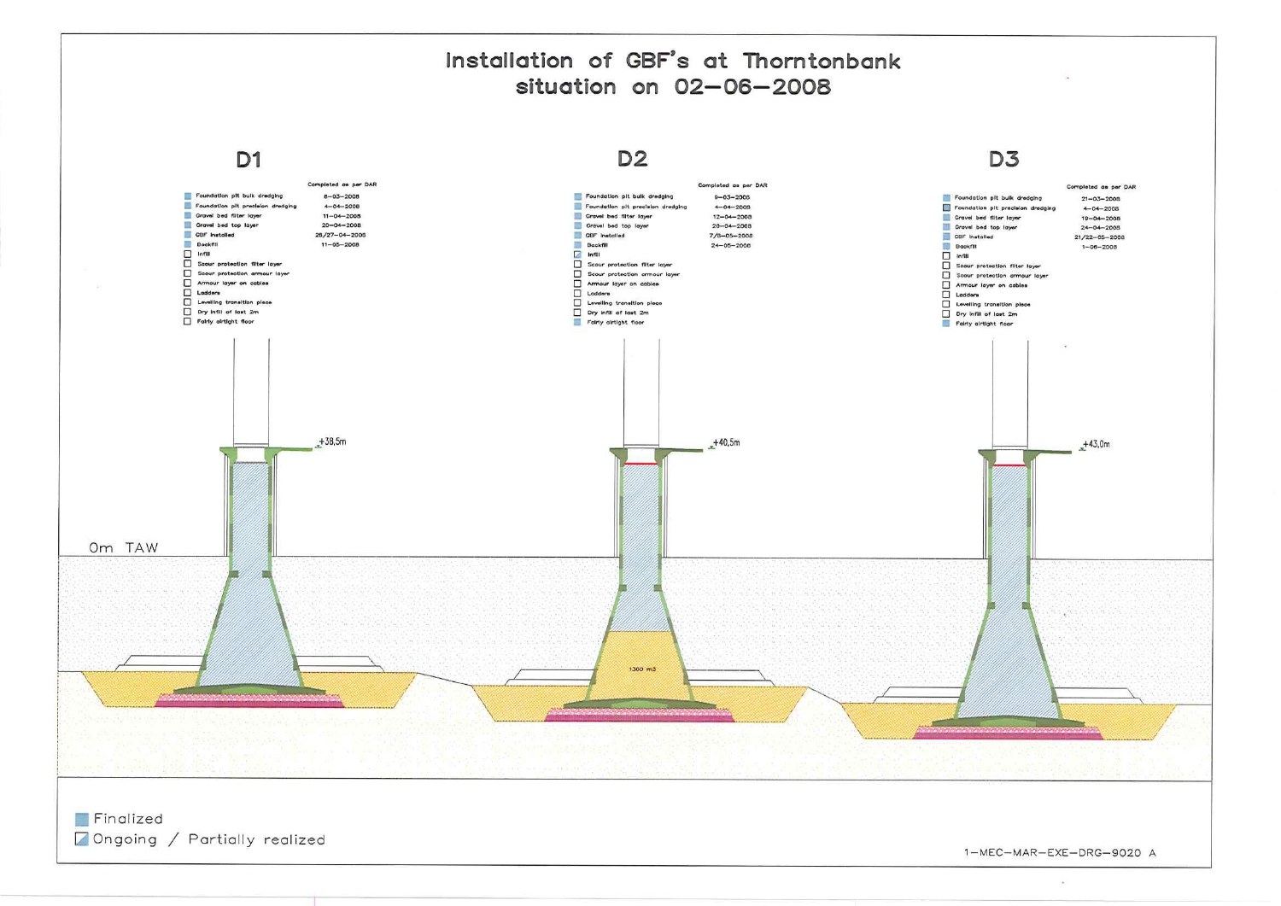